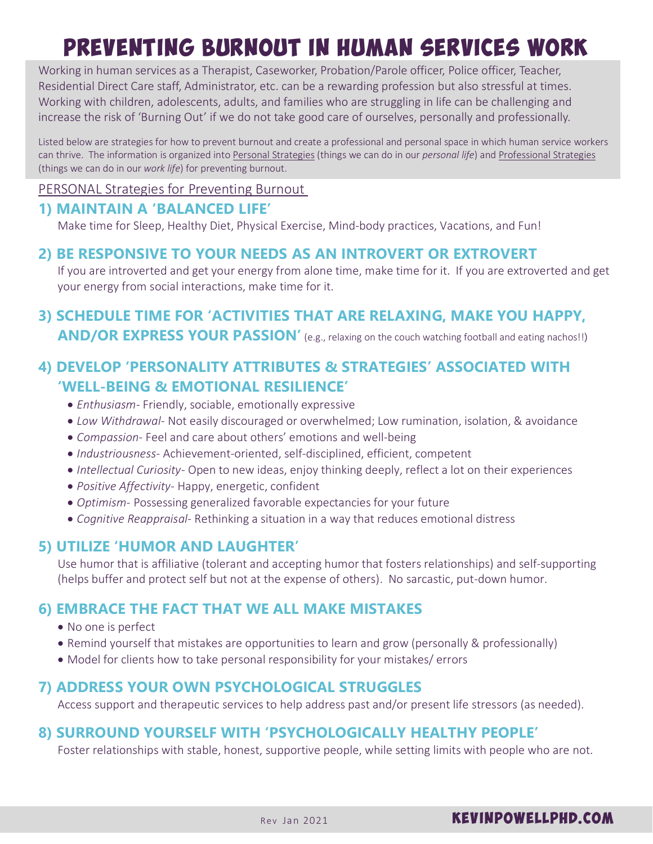# PREVENTing BURNOUT in Human Services Work

Working in human services as a Therapist, Caseworker, Probation/Parole officer, Police officer, Teacher, Residential Direct Care staff, Administrator, etc. can be a rewarding profession but also stressful at times. Working with children, adolescents, adults, and families who are struggling in life can be challenging and increase the risk of 'Burning Out' if we do not take good care of ourselves, personally and professionally.

Listed below are strategies for how to prevent burnout and create a professional and personal space in which human service workers can thrive. The information is organized into Personal Strategies (things we can do in our *personal life*) and Professional Strategies (things we can do in our *work life*) for preventing burnout.

PERSONAL Strategies for Preventing Burnout

# **1) MAINTAIN A 'BALANCED LIFE'**

Make time for Sleep, Healthy Diet, Physical Exercise, Mind-body practices, Vacations, and Fun!

## **2) BE RESPONSIVE TO YOUR NEEDS AS AN INTROVERT OR EXTROVERT**

If you are introverted and get your energy from alone time, make time for it. If you are extroverted and get your energy from social interactions, make time for it.

# **3) SCHEDULE TIME FOR 'ACTIVITIES THAT ARE RELAXING, MAKE YOU HAPPY, AND/OR EXPRESS YOUR PASSION'** (e.g., relaxing on the couch watching football and eating nachos!!)

# **4) DEVELOP 'PERSONALITY ATTRIBUTES & STRATEGIES' ASSOCIATED WITH 'WELL-BEING & EMOTIONAL RESILIENCE'**

- · *Enthusiasm-* Friendly, sociable, emotionally expressive
- · *Low Withdrawal-* Not easily discouraged or overwhelmed; Low rumination, isolation, & avoidance
- · *Compassion-* Feel and care about others' emotions and well-being
- · *Industriousness-* Achievement-oriented, self-disciplined, efficient, competent
- · *Intellectual Curiosity-* Open to new ideas, enjoy thinking deeply, reflect a lot on their experiences
- · *Positive Affectivity-* Happy, energetic, confident
- · *Optimism-* Possessing generalized favorable expectancies for your future
- · *Cognitive Reappraisal-* Rethinking a situation in a way that reduces emotional distress

#### **5) UTILIZE 'HUMOR AND LAUGHTER'**

Use humor that is affiliative (tolerant and accepting humor that fosters relationships) and self-supporting (helps buffer and protect self but not at the expense of others). No sarcastic, put-down humor.

#### **6) EMBRACE THE FACT THAT WE ALL MAKE MISTAKES**

- · No one is perfect
- · Remind yourself that mistakes are opportunities to learn and grow (personally & professionally)
- · Model for clients how to take personal responsibility for your mistakes/ errors

#### **7) ADDRESS YOUR OWN PSYCHOLOGICAL STRUGGLES**

Access support and therapeutic services to help address past and/or present life stressors (as needed).

## **8) SURROUND YOURSELF WITH 'PSYCHOLOGICALLY HEALTHY PEOPLE'**

Foster relationships with stable, honest, supportive people, while setting limits with people who are not.